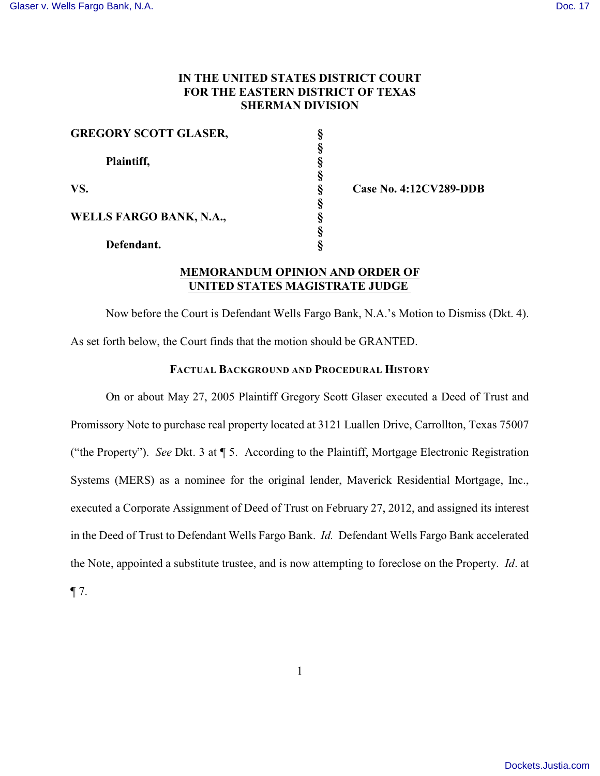# **IN THE UNITED STATES DISTRICT COURT FOR THE EASTERN DISTRICT OF TEXAS SHERMAN DIVISION**

| <b>GREGORY SCOTT GLASER,</b>                        |  |
|-----------------------------------------------------|--|
| Plaintiff,<br>VS.<br><b>WELLS FARGO BANK, N.A.,</b> |  |
|                                                     |  |
|                                                     |  |
|                                                     |  |
| Defendant.                                          |  |

Case No. 4:12CV289-DDB

# **MEMORANDUM OPINION AND ORDER OF UNITED STATES MAGISTRATE JUDGE**

Now before the Court is Defendant Wells Fargo Bank, N.A.'s Motion to Dismiss (Dkt. 4). As set forth below, the Court finds that the motion should be GRANTED.

### **FACTUAL BACKGROUND AND PROCEDURAL HISTORY**

On or about May 27, 2005 Plaintiff Gregory Scott Glaser executed a Deed of Trust and Promissory Note to purchase real property located at 3121 Luallen Drive, Carrollton, Texas 75007 ("the Property"). *See* Dkt. 3 at ¶ 5. According to the Plaintiff, Mortgage Electronic Registration Systems (MERS) as a nominee for the original lender, Maverick Residential Mortgage, Inc., executed a Corporate Assignment of Deed of Trust on February 27, 2012, and assigned its interest in the Deed of Trust to Defendant Wells Fargo Bank. *Id.* Defendant Wells Fargo Bank accelerated the Note, appointed a substitute trustee, and is now attempting to foreclose on the Property. *Id*. at  $\P$  7.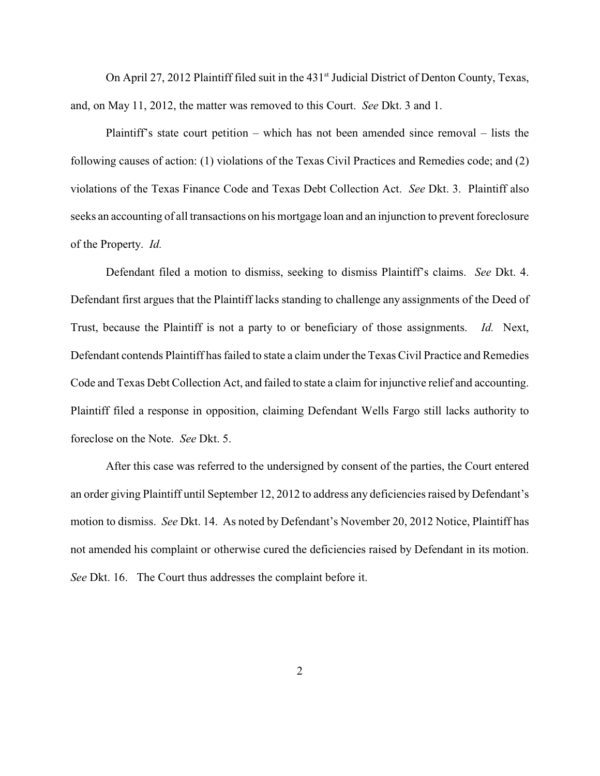On April 27, 2012 Plaintiff filed suit in the 431<sup>st</sup> Judicial District of Denton County, Texas, and, on May 11, 2012, the matter was removed to this Court. *See* Dkt. 3 and 1.

Plaintiff's state court petition – which has not been amended since removal – lists the following causes of action: (1) violations of the Texas Civil Practices and Remedies code; and (2) violations of the Texas Finance Code and Texas Debt Collection Act. *See* Dkt. 3. Plaintiff also seeks an accounting of all transactions on his mortgage loan and an injunction to prevent foreclosure of the Property. *Id.*

Defendant filed a motion to dismiss, seeking to dismiss Plaintiff's claims. *See* Dkt. 4. Defendant first argues that the Plaintiff lacks standing to challenge any assignments of the Deed of Trust, because the Plaintiff is not a party to or beneficiary of those assignments. *Id.* Next, Defendant contends Plaintiff has failed to state a claim under the Texas Civil Practice and Remedies Code and Texas Debt Collection Act, and failed to state a claim for injunctive relief and accounting. Plaintiff filed a response in opposition, claiming Defendant Wells Fargo still lacks authority to foreclose on the Note. *See* Dkt. 5.

After this case was referred to the undersigned by consent of the parties, the Court entered an order giving Plaintiff until September 12, 2012 to address any deficiencies raised by Defendant's motion to dismiss. *See* Dkt. 14. As noted by Defendant's November 20, 2012 Notice, Plaintiff has not amended his complaint or otherwise cured the deficiencies raised by Defendant in its motion. *See* Dkt. 16. The Court thus addresses the complaint before it.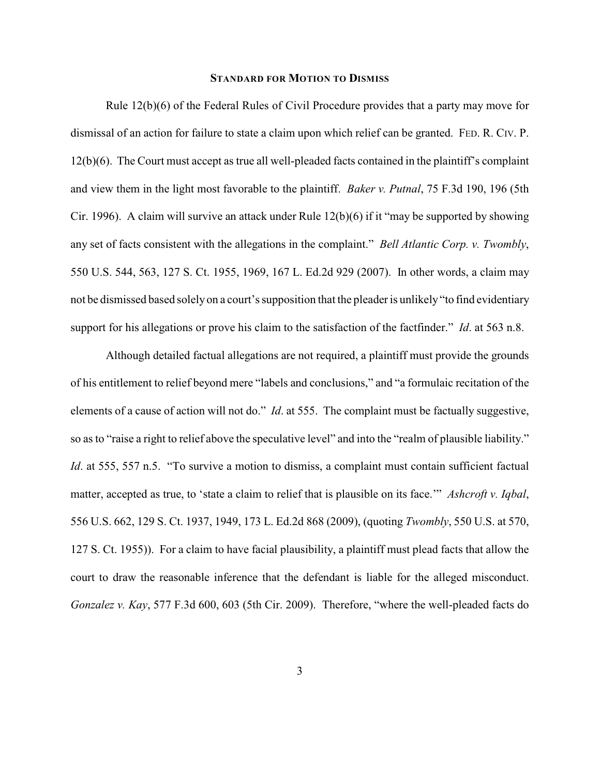#### **STANDARD FOR MOTION TO DISMISS**

Rule 12(b)(6) of the Federal Rules of Civil Procedure provides that a party may move for dismissal of an action for failure to state a claim upon which relief can be granted. FED. R. CIV. P. 12(b)(6). The Court must accept as true all well-pleaded facts contained in the plaintiff's complaint and view them in the light most favorable to the plaintiff. *Baker v. Putnal*, 75 F.3d 190, 196 (5th Cir. 1996). A claim will survive an attack under Rule 12(b)(6) if it "may be supported by showing any set of facts consistent with the allegations in the complaint." *Bell Atlantic Corp. v. Twombly*, 550 U.S. 544, 563, 127 S. Ct. 1955, 1969, 167 L. Ed.2d 929 (2007). In other words, a claim may not be dismissed based solely on a court's supposition that the pleader is unlikely "to find evidentiary support for his allegations or prove his claim to the satisfaction of the factfinder." *Id*. at 563 n.8.

Although detailed factual allegations are not required, a plaintiff must provide the grounds of his entitlement to relief beyond mere "labels and conclusions," and "a formulaic recitation of the elements of a cause of action will not do." *Id*. at 555. The complaint must be factually suggestive, so as to "raise a right to relief above the speculative level" and into the "realm of plausible liability." *Id.* at 555, 557 n.5. "To survive a motion to dismiss, a complaint must contain sufficient factual matter, accepted as true, to 'state a claim to relief that is plausible on its face.'" *Ashcroft v. Iqbal*, 556 U.S. 662, 129 S. Ct. 1937, 1949, 173 L. Ed.2d 868 (2009), (quoting *Twombly*, 550 U.S. at 570, 127 S. Ct. 1955)). For a claim to have facial plausibility, a plaintiff must plead facts that allow the court to draw the reasonable inference that the defendant is liable for the alleged misconduct. *Gonzalez v. Kay*, 577 F.3d 600, 603 (5th Cir. 2009). Therefore, "where the well-pleaded facts do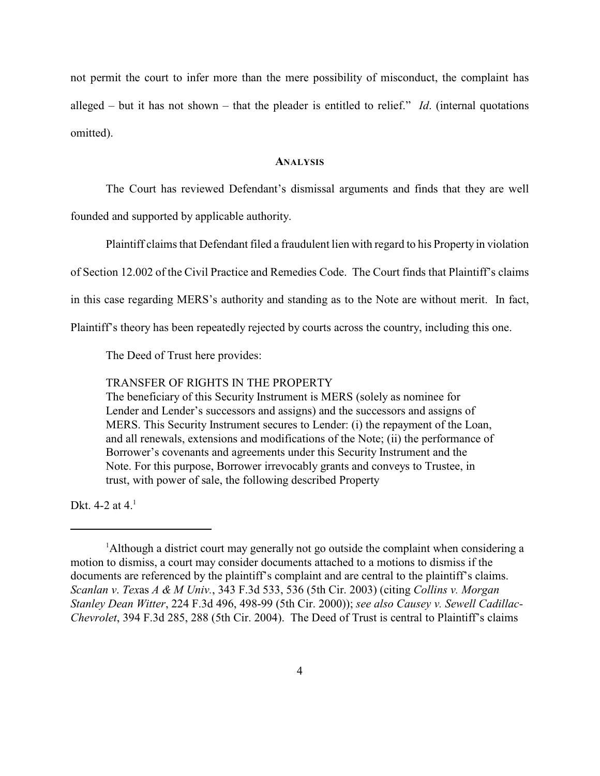not permit the court to infer more than the mere possibility of misconduct, the complaint has alleged – but it has not shown – that the pleader is entitled to relief." *Id*. (internal quotations omitted).

### **ANALYSIS**

The Court has reviewed Defendant's dismissal arguments and finds that they are well

founded and supported by applicable authority.

Plaintiff claims that Defendant filed a fraudulent lien with regard to his Property in violation

of Section 12.002 of the Civil Practice and Remedies Code. The Court finds that Plaintiff's claims

in this case regarding MERS's authority and standing as to the Note are without merit. In fact,

Plaintiff's theory has been repeatedly rejected by courts across the country, including this one.

The Deed of Trust here provides:

## TRANSFER OF RIGHTS IN THE PROPERTY

The beneficiary of this Security Instrument is MERS (solely as nominee for Lender and Lender's successors and assigns) and the successors and assigns of MERS. This Security Instrument secures to Lender: (i) the repayment of the Loan, and all renewals, extensions and modifications of the Note; (ii) the performance of Borrower's covenants and agreements under this Security Instrument and the Note. For this purpose, Borrower irrevocably grants and conveys to Trustee, in trust, with power of sale, the following described Property

Dkt. 4-2 at  $4<sup>1</sup>$ 

<sup>&</sup>lt;sup>1</sup>Although a district court may generally not go outside the complaint when considering a motion to dismiss, a court may consider documents attached to a motions to dismiss if the documents are referenced by the plaintiff's complaint and are central to the plaintiff's claims. *Scanlan v*. *Tex*as *A & M Univ.*, 343 F.3d 533, 536 (5th Cir. 2003) (citing *Collins v. Morgan Stanley Dean Witter*, 224 F.3d 496, 498-99 (5th Cir. 2000)); *see also Causey v. Sewell Cadillac-Chevrolet*, 394 F.3d 285, 288 (5th Cir. 2004). The Deed of Trust is central to Plaintiff's claims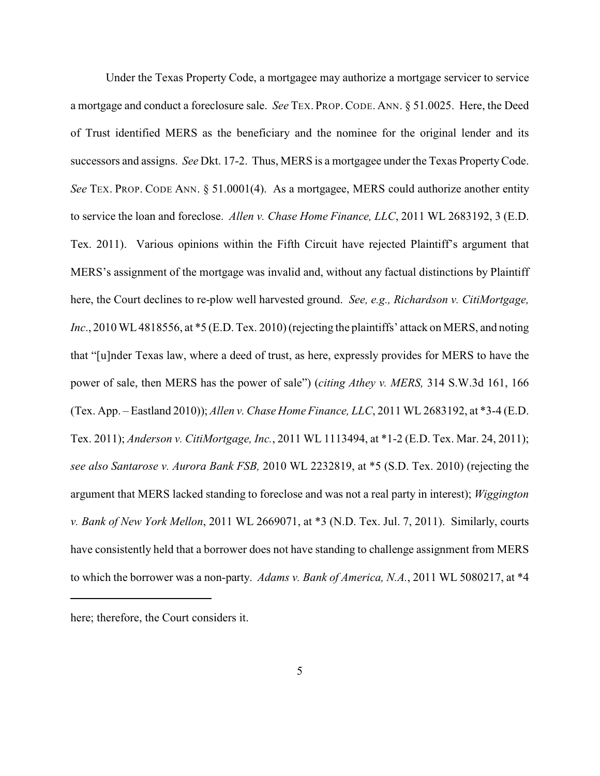Under the Texas Property Code, a mortgagee may authorize a mortgage servicer to service a mortgage and conduct a foreclosure sale. *See* TEX. PROP.CODE. ANN. § 51.0025. Here, the Deed of Trust identified MERS as the beneficiary and the nominee for the original lender and its successors and assigns. *See* Dkt. 17-2. Thus, MERS is a mortgagee under the Texas Property Code. *See* TEX. PROP. CODE ANN. § 51.0001(4). As a mortgagee, MERS could authorize another entity to service the loan and foreclose. *Allen v. Chase Home Finance, LLC*, 2011 WL 2683192, 3 (E.D. Tex. 2011). Various opinions within the Fifth Circuit have rejected Plaintiff's argument that MERS's assignment of the mortgage was invalid and, without any factual distinctions by Plaintiff here, the Court declines to re-plow well harvested ground. *See, e.g., Richardson v. CitiMortgage, Inc.*, 2010 WL 4818556, at \*5 (E.D. Tex. 2010) (rejecting the plaintiffs' attack on MERS, and noting that "[u]nder Texas law, where a deed of trust, as here, expressly provides for MERS to have the power of sale, then MERS has the power of sale") (*citing Athey v. MERS,* 314 S.W.3d 161, 166 (Tex. App. – Eastland 2010)); *Allen v. Chase Home Finance, LLC*, 2011 WL 2683192, at \*3-4 (E.D. Tex. 2011); *Anderson v. CitiMortgage, Inc.*, 2011 WL 1113494, at \*1-2 (E.D. Tex. Mar. 24, 2011); *see also Santarose v. Aurora Bank FSB,* 2010 WL 2232819, at \*5 (S.D. Tex. 2010) (rejecting the argument that MERS lacked standing to foreclose and was not a real party in interest); *Wiggington v. Bank of New York Mellon*, 2011 WL 2669071, at \*3 (N.D. Tex. Jul. 7, 2011). Similarly, courts have consistently held that a borrower does not have standing to challenge assignment from MERS to which the borrower was a non-party. *Adams v. Bank of America, N.A.*, 2011 WL 5080217, at \*4

here; therefore, the Court considers it.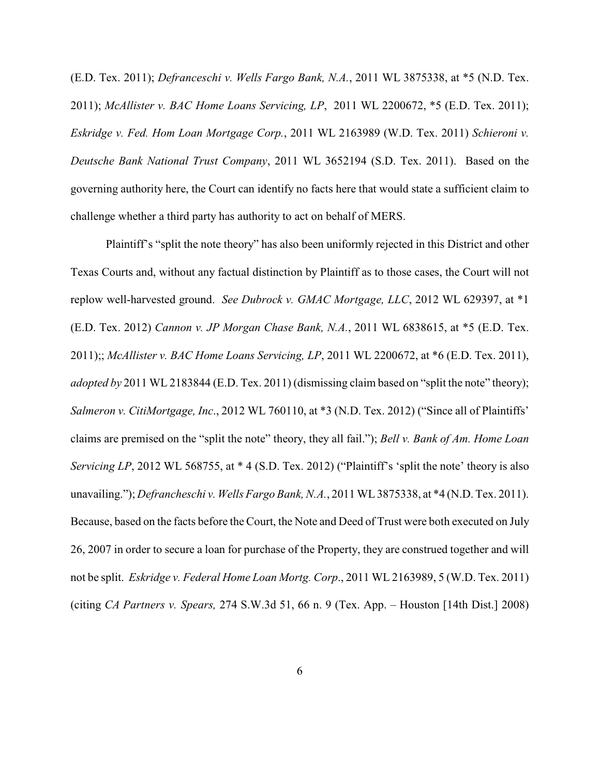(E.D. Tex. 2011); *Defranceschi v. Wells Fargo Bank, N.A.*, 2011 WL 3875338, at \*5 (N.D. Tex. 2011); *McAllister v. BAC Home Loans Servicing, LP*, 2011 WL 2200672, \*5 (E.D. Tex. 2011); *Eskridge v. Fed. Hom Loan Mortgage Corp.*, 2011 WL 2163989 (W.D. Tex. 2011) *Schieroni v. Deutsche Bank National Trust Company*, 2011 WL 3652194 (S.D. Tex. 2011). Based on the governing authority here, the Court can identify no facts here that would state a sufficient claim to challenge whether a third party has authority to act on behalf of MERS.

Plaintiff's "split the note theory" has also been uniformly rejected in this District and other Texas Courts and, without any factual distinction by Plaintiff as to those cases, the Court will not replow well-harvested ground. *See Dubrock v. GMAC Mortgage, LLC*, 2012 WL 629397, at \*1 (E.D. Tex. 2012) *Cannon v. JP Morgan Chase Bank, N.A.*, 2011 WL 6838615, at \*5 (E.D. Tex. 2011);; *McAllister v. BAC Home Loans Servicing, LP*, 2011 WL 2200672, at \*6 (E.D. Tex. 2011), *adopted by* 2011 WL 2183844 (E.D. Tex. 2011) (dismissing claim based on "split the note" theory); *Salmeron v. CitiMortgage, Inc*., 2012 WL 760110, at \*3 (N.D. Tex. 2012) ("Since all of Plaintiffs' claims are premised on the "split the note" theory, they all fail."); *Bell v. Bank of Am. Home Loan Servicing LP*, 2012 WL 568755, at \* 4 (S.D. Tex. 2012) ("Plaintiff's 'split the note' theory is also unavailing."); *Defrancheschi v. Wells Fargo Bank, N.A.*, 2011 WL 3875338, at \*4 (N.D. Tex. 2011). Because, based on the facts before the Court, the Note and Deed of Trust were both executed on July 26, 2007 in order to secure a loan for purchase of the Property, they are construed together and will not be split. *Eskridge v. Federal Home Loan Mortg. Corp*., 2011 WL 2163989, 5 (W.D. Tex. 2011) (citing *CA Partners v. Spears,* 274 S.W.3d 51, 66 n. 9 (Tex. App. – Houston [14th Dist.] 2008)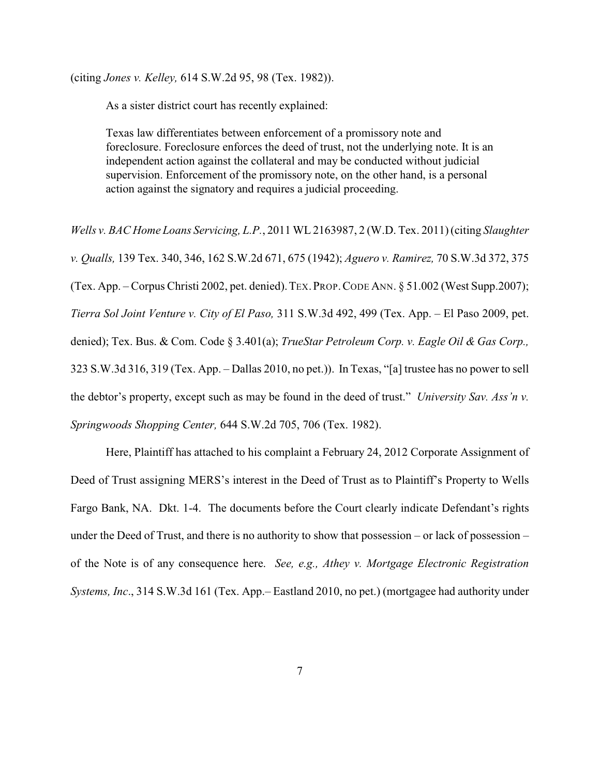(citing *Jones v. Kelley,* 614 S.W.2d 95, 98 (Tex. 1982)).

As a sister district court has recently explained:

Texas law differentiates between enforcement of a promissory note and foreclosure. Foreclosure enforces the deed of trust, not the underlying note. It is an independent action against the collateral and may be conducted without judicial supervision. Enforcement of the promissory note, on the other hand, is a personal action against the signatory and requires a judicial proceeding.

*Wells v. BAC Home Loans Servicing, L.P.*, 2011 WL2163987, 2 (W.D. Tex. 2011) (citing *Slaughter v. Qualls,* 139 Tex. 340, 346, 162 S.W.2d 671, 675 (1942); *Aguero v. Ramirez,* 70 S.W.3d 372, 375 (Tex. App. – Corpus Christi 2002, pet. denied).TEX.PROP.CODE ANN. § 51.002 (West Supp.2007); *Tierra Sol Joint Venture v. City of El Paso,* 311 S.W.3d 492, 499 (Tex. App. – El Paso 2009, pet. denied); Tex. Bus. & Com. Code § 3.401(a); *TrueStar Petroleum Corp. v. Eagle Oil & Gas Corp.,* 323 S.W.3d 316, 319 (Tex. App. – Dallas 2010, no pet.)). In Texas, "[a] trustee has no power to sell the debtor's property, except such as may be found in the deed of trust." *University Sav. Ass'n v. Springwoods Shopping Center,* 644 S.W.2d 705, 706 (Tex. 1982).

Here, Plaintiff has attached to his complaint a February 24, 2012 Corporate Assignment of Deed of Trust assigning MERS's interest in the Deed of Trust as to Plaintiff's Property to Wells Fargo Bank, NA. Dkt. 1-4. The documents before the Court clearly indicate Defendant's rights under the Deed of Trust, and there is no authority to show that possession – or lack of possession – of the Note is of any consequence here. *See, e.g., Athey v. Mortgage Electronic Registration Systems, Inc*., 314 S.W.3d 161 (Tex. App.– Eastland 2010, no pet.) (mortgagee had authority under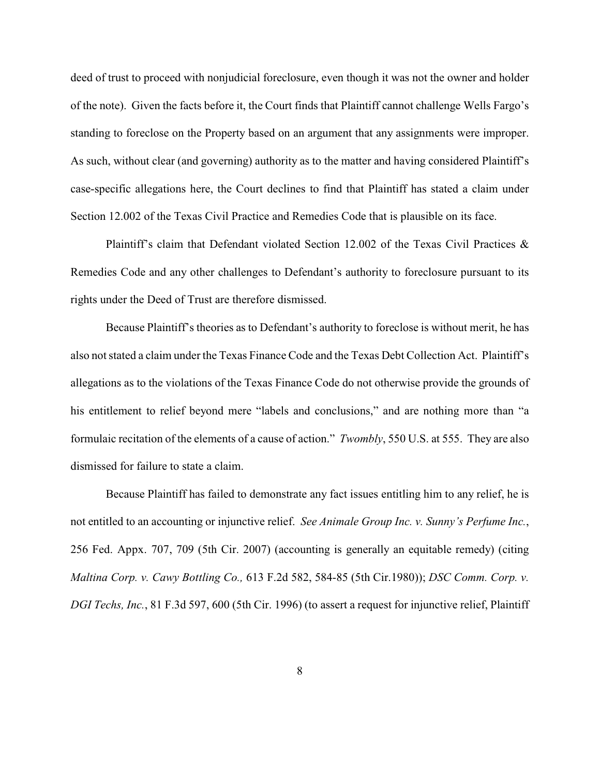deed of trust to proceed with nonjudicial foreclosure, even though it was not the owner and holder of the note). Given the facts before it, the Court finds that Plaintiff cannot challenge Wells Fargo's standing to foreclose on the Property based on an argument that any assignments were improper. As such, without clear (and governing) authority as to the matter and having considered Plaintiff's case-specific allegations here, the Court declines to find that Plaintiff has stated a claim under Section 12.002 of the Texas Civil Practice and Remedies Code that is plausible on its face.

Plaintiff's claim that Defendant violated Section 12.002 of the Texas Civil Practices & Remedies Code and any other challenges to Defendant's authority to foreclosure pursuant to its rights under the Deed of Trust are therefore dismissed.

Because Plaintiff's theories as to Defendant's authority to foreclose is without merit, he has also not stated a claim under the Texas Finance Code and the Texas Debt Collection Act. Plaintiff's allegations as to the violations of the Texas Finance Code do not otherwise provide the grounds of his entitlement to relief beyond mere "labels and conclusions," and are nothing more than "a formulaic recitation of the elements of a cause of action." *Twombly*, 550 U.S. at 555. They are also dismissed for failure to state a claim.

Because Plaintiff has failed to demonstrate any fact issues entitling him to any relief, he is not entitled to an accounting or injunctive relief. *See Animale Group Inc. v. Sunny's Perfume Inc.*, 256 Fed. Appx. 707, 709 (5th Cir. 2007) (accounting is generally an equitable remedy) (citing *Maltina Corp. v. Cawy Bottling Co.,* 613 F.2d 582, 584-85 (5th Cir.1980)); *DSC Comm. Corp. v. DGI Techs, Inc.*, 81 F.3d 597, 600 (5th Cir. 1996) (to assert a request for injunctive relief, Plaintiff